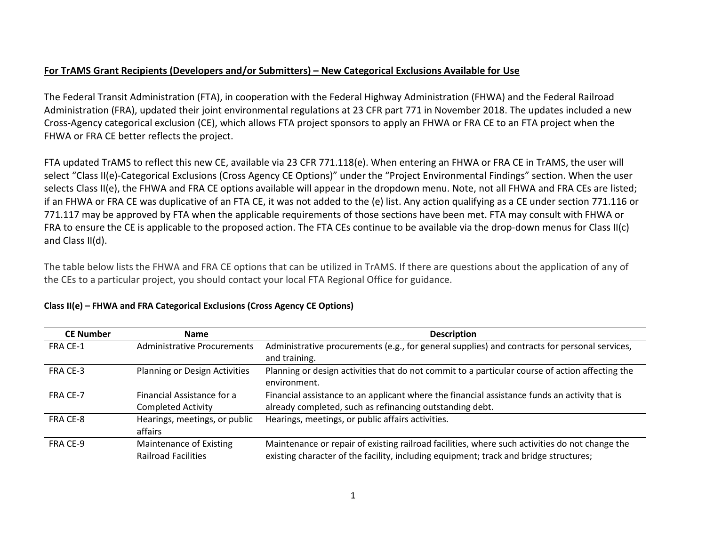## **For TrAMS Grant Recipients (Developers and/or Submitters) – New Categorical Exclusions Available for Use**

The Federal Transit Administration (FTA), in cooperation with the Federal Highway Administration (FHWA) and the Federal Railroad Administration (FRA), updated their joint environmental regulations at 23 CFR part 771 in November 2018. The updates included a new Cross-Agency categorical exclusion (CE), which allows FTA project sponsors to apply an FHWA or FRA CE to an FTA project when the FHWA or FRA CE better reflects the project.

FTA updated TrAMS to reflect this new CE, available via 23 CFR 771.118(e). When entering an FHWA or FRA CE in TrAMS, the user will select "Class II(e)-Categorical Exclusions (Cross Agency CE Options)" under the "Project Environmental Findings" section. When the user selects Class II(e), the FHWA and FRA CE options available will appear in the dropdown menu. Note, not all FHWA and FRA CEs are listed; if an FHWA or FRA CE was duplicative of an FTA CE, it was not added to the (e) list. Any action qualifying as a CE under section 771.116 or 771.117 may be approved by FTA when the applicable requirements of those sections have been met. FTA may consult with FHWA or FRA to ensure the CE is applicable to the proposed action. The FTA CEs continue to be available via the drop-down menus for Class II(c) and Class II(d).

The table below lists the FHWA and FRA CE options that can be utilized in TrAMS. If there are questions about the application of any of the CEs to a particular project, you should contact your local FTA Regional Office for guidance.

| <b>CE Number</b> | <b>Name</b>                          | <b>Description</b>                                                                              |
|------------------|--------------------------------------|-------------------------------------------------------------------------------------------------|
| FRA CE-1         | <b>Administrative Procurements</b>   | Administrative procurements (e.g., for general supplies) and contracts for personal services,   |
|                  |                                      | and training.                                                                                   |
| FRA CE-3         | <b>Planning or Design Activities</b> | Planning or design activities that do not commit to a particular course of action affecting the |
|                  |                                      | environment.                                                                                    |
| FRA CE-7         | Financial Assistance for a           | Financial assistance to an applicant where the financial assistance funds an activity that is   |
|                  | <b>Completed Activity</b>            | already completed, such as refinancing outstanding debt.                                        |
| FRA CE-8         | Hearings, meetings, or public        | Hearings, meetings, or public affairs activities.                                               |
|                  | affairs                              |                                                                                                 |
| FRA CE-9         | Maintenance of Existing              | Maintenance or repair of existing railroad facilities, where such activities do not change the  |
|                  | <b>Railroad Facilities</b>           | existing character of the facility, including equipment; track and bridge structures;           |

## **Class II(e) – FHWA and FRA Categorical Exclusions (Cross Agency CE Options)**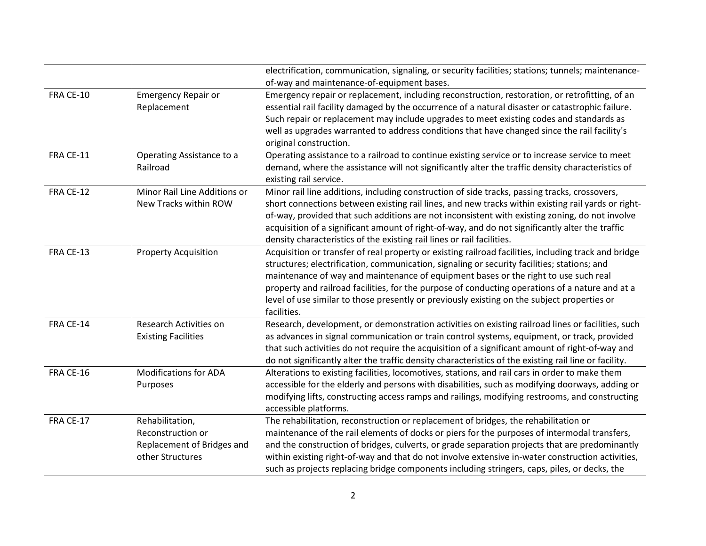|           |                              | electrification, communication, signaling, or security facilities; stations; tunnels; maintenance-         |
|-----------|------------------------------|------------------------------------------------------------------------------------------------------------|
|           |                              | of-way and maintenance-of-equipment bases.                                                                 |
| FRA CE-10 | <b>Emergency Repair or</b>   | Emergency repair or replacement, including reconstruction, restoration, or retrofitting, of an             |
|           | Replacement                  | essential rail facility damaged by the occurrence of a natural disaster or catastrophic failure.           |
|           |                              | Such repair or replacement may include upgrades to meet existing codes and standards as                    |
|           |                              | well as upgrades warranted to address conditions that have changed since the rail facility's               |
|           |                              | original construction.                                                                                     |
| FRA CE-11 | Operating Assistance to a    | Operating assistance to a railroad to continue existing service or to increase service to meet             |
|           | Railroad                     | demand, where the assistance will not significantly alter the traffic density characteristics of           |
|           |                              | existing rail service.                                                                                     |
| FRA CE-12 | Minor Rail Line Additions or | Minor rail line additions, including construction of side tracks, passing tracks, crossovers,              |
|           | New Tracks within ROW        | short connections between existing rail lines, and new tracks within existing rail yards or right-         |
|           |                              | of-way, provided that such additions are not inconsistent with existing zoning, do not involve             |
|           |                              | acquisition of a significant amount of right-of-way, and do not significantly alter the traffic            |
|           |                              | density characteristics of the existing rail lines or rail facilities.                                     |
| FRA CE-13 | <b>Property Acquisition</b>  | Acquisition or transfer of real property or existing railroad facilities, including track and bridge       |
|           |                              | structures; electrification, communication, signaling or security facilities; stations; and                |
|           |                              | maintenance of way and maintenance of equipment bases or the right to use such real                        |
|           |                              | property and railroad facilities, for the purpose of conducting operations of a nature and at a            |
|           |                              | level of use similar to those presently or previously existing on the subject properties or<br>facilities. |
| FRA CE-14 | Research Activities on       | Research, development, or demonstration activities on existing railroad lines or facilities, such          |
|           | <b>Existing Facilities</b>   | as advances in signal communication or train control systems, equipment, or track, provided                |
|           |                              | that such activities do not require the acquisition of a significant amount of right-of-way and            |
|           |                              | do not significantly alter the traffic density characteristics of the existing rail line or facility.      |
| FRA CE-16 | <b>Modifications for ADA</b> | Alterations to existing facilities, locomotives, stations, and rail cars in order to make them             |
|           | Purposes                     | accessible for the elderly and persons with disabilities, such as modifying doorways, adding or            |
|           |                              | modifying lifts, constructing access ramps and railings, modifying restrooms, and constructing             |
|           |                              | accessible platforms.                                                                                      |
| FRA CE-17 | Rehabilitation,              | The rehabilitation, reconstruction or replacement of bridges, the rehabilitation or                        |
|           | Reconstruction or            | maintenance of the rail elements of docks or piers for the purposes of intermodal transfers,               |
|           | Replacement of Bridges and   | and the construction of bridges, culverts, or grade separation projects that are predominantly             |
|           | other Structures             | within existing right-of-way and that do not involve extensive in-water construction activities,           |
|           |                              | such as projects replacing bridge components including stringers, caps, piles, or decks, the               |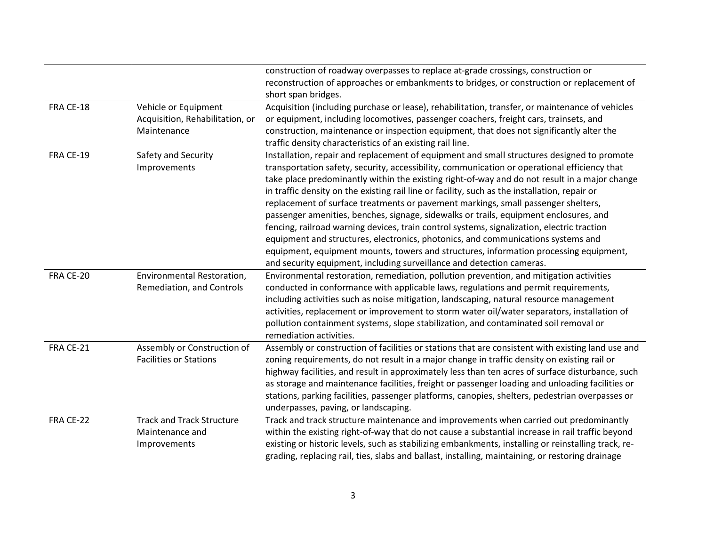|           |                                  | construction of roadway overpasses to replace at-grade crossings, construction or                   |
|-----------|----------------------------------|-----------------------------------------------------------------------------------------------------|
|           |                                  | reconstruction of approaches or embankments to bridges, or construction or replacement of           |
|           |                                  | short span bridges.                                                                                 |
| FRA CE-18 | Vehicle or Equipment             | Acquisition (including purchase or lease), rehabilitation, transfer, or maintenance of vehicles     |
|           | Acquisition, Rehabilitation, or  | or equipment, including locomotives, passenger coachers, freight cars, trainsets, and               |
|           | Maintenance                      | construction, maintenance or inspection equipment, that does not significantly alter the            |
|           |                                  | traffic density characteristics of an existing rail line.                                           |
| FRA CE-19 | Safety and Security              | Installation, repair and replacement of equipment and small structures designed to promote          |
|           | Improvements                     | transportation safety, security, accessibility, communication or operational efficiency that        |
|           |                                  | take place predominantly within the existing right-of-way and do not result in a major change       |
|           |                                  | in traffic density on the existing rail line or facility, such as the installation, repair or       |
|           |                                  | replacement of surface treatments or pavement markings, small passenger shelters,                   |
|           |                                  | passenger amenities, benches, signage, sidewalks or trails, equipment enclosures, and               |
|           |                                  | fencing, railroad warning devices, train control systems, signalization, electric traction          |
|           |                                  | equipment and structures, electronics, photonics, and communications systems and                    |
|           |                                  | equipment, equipment mounts, towers and structures, information processing equipment,               |
|           |                                  | and security equipment, including surveillance and detection cameras.                               |
| FRA CE-20 | Environmental Restoration,       | Environmental restoration, remediation, pollution prevention, and mitigation activities             |
|           | Remediation, and Controls        | conducted in conformance with applicable laws, regulations and permit requirements,                 |
|           |                                  | including activities such as noise mitigation, landscaping, natural resource management             |
|           |                                  | activities, replacement or improvement to storm water oil/water separators, installation of         |
|           |                                  | pollution containment systems, slope stabilization, and contaminated soil removal or                |
|           |                                  | remediation activities.                                                                             |
| FRA CE-21 | Assembly or Construction of      | Assembly or construction of facilities or stations that are consistent with existing land use and   |
|           | <b>Facilities or Stations</b>    | zoning requirements, do not result in a major change in traffic density on existing rail or         |
|           |                                  | highway facilities, and result in approximately less than ten acres of surface disturbance, such    |
|           |                                  | as storage and maintenance facilities, freight or passenger loading and unloading facilities or     |
|           |                                  | stations, parking facilities, passenger platforms, canopies, shelters, pedestrian overpasses or     |
|           |                                  | underpasses, paving, or landscaping.                                                                |
| FRA CE-22 | <b>Track and Track Structure</b> | Track and track structure maintenance and improvements when carried out predominantly               |
|           | Maintenance and                  | within the existing right-of-way that do not cause a substantial increase in rail traffic beyond    |
|           | Improvements                     | existing or historic levels, such as stabilizing embankments, installing or reinstalling track, re- |
|           |                                  | grading, replacing rail, ties, slabs and ballast, installing, maintaining, or restoring drainage    |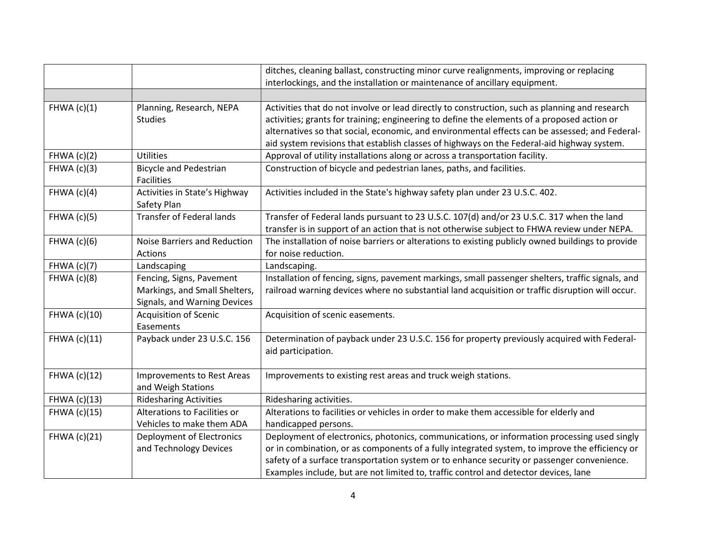|                    |                                                                                           | ditches, cleaning ballast, constructing minor curve realignments, improving or replacing                                                                                                                                                                                                                                                                                                      |
|--------------------|-------------------------------------------------------------------------------------------|-----------------------------------------------------------------------------------------------------------------------------------------------------------------------------------------------------------------------------------------------------------------------------------------------------------------------------------------------------------------------------------------------|
|                    |                                                                                           | interlockings, and the installation or maintenance of ancillary equipment.                                                                                                                                                                                                                                                                                                                    |
|                    |                                                                                           |                                                                                                                                                                                                                                                                                                                                                                                               |
| FHWA $(c)(1)$      | Planning, Research, NEPA<br><b>Studies</b>                                                | Activities that do not involve or lead directly to construction, such as planning and research<br>activities; grants for training; engineering to define the elements of a proposed action or<br>alternatives so that social, economic, and environmental effects can be assessed; and Federal-<br>aid system revisions that establish classes of highways on the Federal-aid highway system. |
| FHWA $(c)(2)$      | <b>Utilities</b>                                                                          | Approval of utility installations along or across a transportation facility.                                                                                                                                                                                                                                                                                                                  |
| FHWA $(c)(3)$      | <b>Bicycle and Pedestrian</b><br>Facilities                                               | Construction of bicycle and pedestrian lanes, paths, and facilities.                                                                                                                                                                                                                                                                                                                          |
| FHWA $(c)(4)$      | Activities in State's Highway<br>Safety Plan                                              | Activities included in the State's highway safety plan under 23 U.S.C. 402.                                                                                                                                                                                                                                                                                                                   |
| FHWA $(c)(5)$      | <b>Transfer of Federal lands</b>                                                          | Transfer of Federal lands pursuant to 23 U.S.C. 107(d) and/or 23 U.S.C. 317 when the land<br>transfer is in support of an action that is not otherwise subject to FHWA review under NEPA.                                                                                                                                                                                                     |
| FHWA $(c)(6)$      | Noise Barriers and Reduction<br>Actions                                                   | The installation of noise barriers or alterations to existing publicly owned buildings to provide<br>for noise reduction.                                                                                                                                                                                                                                                                     |
| <b>FHWA</b> (c)(7) | Landscaping                                                                               | Landscaping.                                                                                                                                                                                                                                                                                                                                                                                  |
| FHWA $(c)(8)$      | Fencing, Signs, Pavement<br>Markings, and Small Shelters,<br>Signals, and Warning Devices | Installation of fencing, signs, pavement markings, small passenger shelters, traffic signals, and<br>railroad warning devices where no substantial land acquisition or traffic disruption will occur.                                                                                                                                                                                         |
| FHWA (c)(10)       | <b>Acquisition of Scenic</b><br>Easements                                                 | Acquisition of scenic easements.                                                                                                                                                                                                                                                                                                                                                              |
| FHWA (c)(11)       | Payback under 23 U.S.C. 156                                                               | Determination of payback under 23 U.S.C. 156 for property previously acquired with Federal-<br>aid participation.                                                                                                                                                                                                                                                                             |
| FHWA (c)(12)       | Improvements to Rest Areas<br>and Weigh Stations                                          | Improvements to existing rest areas and truck weigh stations.                                                                                                                                                                                                                                                                                                                                 |
| FHWA (c)(13)       | <b>Ridesharing Activities</b>                                                             | Ridesharing activities.                                                                                                                                                                                                                                                                                                                                                                       |
| FHWA (c)(15)       | Alterations to Facilities or<br>Vehicles to make them ADA                                 | Alterations to facilities or vehicles in order to make them accessible for elderly and<br>handicapped persons.                                                                                                                                                                                                                                                                                |
| FHWA (c)(21)       | Deployment of Electronics<br>and Technology Devices                                       | Deployment of electronics, photonics, communications, or information processing used singly<br>or in combination, or as components of a fully integrated system, to improve the efficiency or<br>safety of a surface transportation system or to enhance security or passenger convenience.<br>Examples include, but are not limited to, traffic control and detector devices, lane           |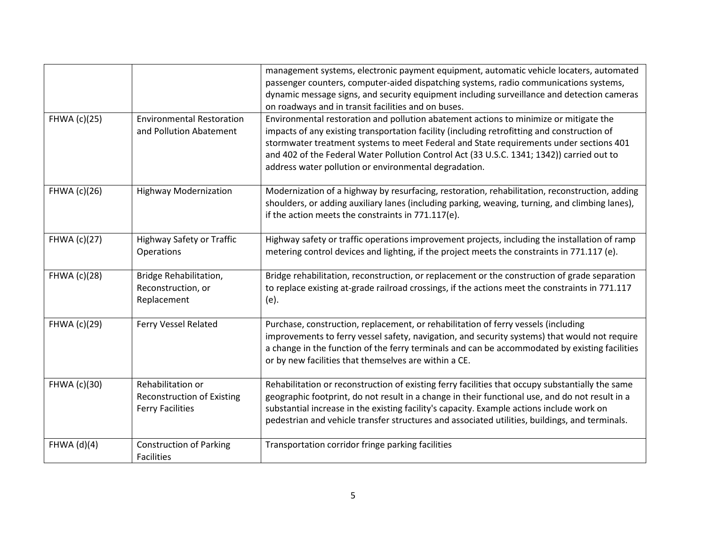|              |                                                                                   | management systems, electronic payment equipment, automatic vehicle locaters, automated<br>passenger counters, computer-aided dispatching systems, radio communications systems,<br>dynamic message signs, and security equipment including surveillance and detection cameras                                                                                                                                                                                                              |
|--------------|-----------------------------------------------------------------------------------|---------------------------------------------------------------------------------------------------------------------------------------------------------------------------------------------------------------------------------------------------------------------------------------------------------------------------------------------------------------------------------------------------------------------------------------------------------------------------------------------|
| FHWA (c)(25) | <b>Environmental Restoration</b><br>and Pollution Abatement                       | on roadways and in transit facilities and on buses.<br>Environmental restoration and pollution abatement actions to minimize or mitigate the<br>impacts of any existing transportation facility (including retrofitting and construction of<br>stormwater treatment systems to meet Federal and State requirements under sections 401<br>and 402 of the Federal Water Pollution Control Act (33 U.S.C. 1341; 1342)) carried out to<br>address water pollution or environmental degradation. |
| FHWA (c)(26) | <b>Highway Modernization</b>                                                      | Modernization of a highway by resurfacing, restoration, rehabilitation, reconstruction, adding<br>shoulders, or adding auxiliary lanes (including parking, weaving, turning, and climbing lanes),<br>if the action meets the constraints in 771.117(e).                                                                                                                                                                                                                                     |
| FHWA (c)(27) | Highway Safety or Traffic<br>Operations                                           | Highway safety or traffic operations improvement projects, including the installation of ramp<br>metering control devices and lighting, if the project meets the constraints in 771.117 (e).                                                                                                                                                                                                                                                                                                |
| FHWA (c)(28) | Bridge Rehabilitation,<br>Reconstruction, or<br>Replacement                       | Bridge rehabilitation, reconstruction, or replacement or the construction of grade separation<br>to replace existing at-grade railroad crossings, if the actions meet the constraints in 771.117<br>(e).                                                                                                                                                                                                                                                                                    |
| FHWA (c)(29) | Ferry Vessel Related                                                              | Purchase, construction, replacement, or rehabilitation of ferry vessels (including<br>improvements to ferry vessel safety, navigation, and security systems) that would not require<br>a change in the function of the ferry terminals and can be accommodated by existing facilities<br>or by new facilities that themselves are within a CE.                                                                                                                                              |
| FHWA (c)(30) | Rehabilitation or<br><b>Reconstruction of Existing</b><br><b>Ferry Facilities</b> | Rehabilitation or reconstruction of existing ferry facilities that occupy substantially the same<br>geographic footprint, do not result in a change in their functional use, and do not result in a<br>substantial increase in the existing facility's capacity. Example actions include work on<br>pedestrian and vehicle transfer structures and associated utilities, buildings, and terminals.                                                                                          |
| FHWA (d)(4)  | <b>Construction of Parking</b><br>Facilities                                      | Transportation corridor fringe parking facilities                                                                                                                                                                                                                                                                                                                                                                                                                                           |